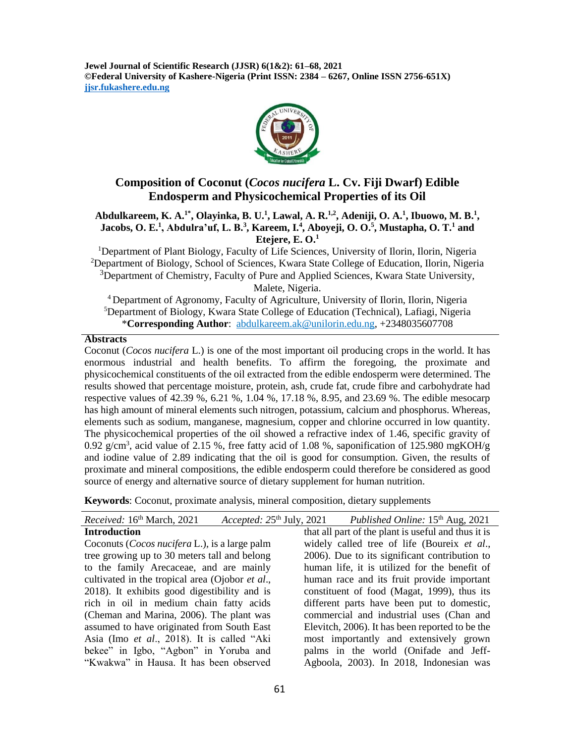**Jewel Journal of Scientific Research (JJSR) 6(1&2): 61–68, 2021 ©Federal University of Kashere-Nigeria (Print ISSN: 2384 – 6267, Online ISSN 2756-651X) jjsr.fukashere.edu.ng**



# **Composition of Coconut (***Cocos nucifera* **L. Cv. Fiji Dwarf) Edible Endosperm and Physicochemical Properties of its Oil**

#### **Abdulkareem, K. A.1\*, Olayinka, B. U.<sup>1</sup> , Lawal, A. R.1,2, Adeniji, O. A.<sup>1</sup> , Ibuowo, M. B.<sup>1</sup> , Jacobs, O. E.<sup>1</sup> , Abdulra'uf, L. B.<sup>3</sup> , Kareem, I.<sup>4</sup> , Aboyeji, O. O.<sup>5</sup> , Mustapha, O. T.<sup>1</sup> and Etejere, E. O.<sup>1</sup>**

<sup>1</sup>Department of Plant Biology, Faculty of Life Sciences, University of Ilorin, Ilorin, Nigeria <sup>2</sup>Department of Biology, School of Sciences, Kwara State College of Education, Ilorin, Nigeria <sup>3</sup>Department of Chemistry, Faculty of Pure and Applied Sciences, Kwara State University, Malete, Nigeria.

<sup>4</sup> Department of Agronomy, Faculty of Agriculture, University of Ilorin, Ilorin, Nigeria <sup>5</sup>Department of Biology, Kwara State College of Education (Technical), Lafiagi, Nigeria \***Corresponding Author**: abdulkareem.ak@unilorin.edu.ng, +2348035607708

### **Abstracts**

Coconut (*Cocos nucifera* L.) is one of the most important oil producing crops in the world. It has enormous industrial and health benefits. To affirm the foregoing, the proximate and physicochemical constituents of the oil extracted from the edible endosperm were determined. The results showed that percentage moisture, protein, ash, crude fat, crude fibre and carbohydrate had respective values of 42.39 %, 6.21 %, 1.04 %, 17.18 %, 8.95, and 23.69 %. The edible mesocarp has high amount of mineral elements such nitrogen, potassium, calcium and phosphorus. Whereas, elements such as sodium, manganese, magnesium, copper and chlorine occurred in low quantity. The physicochemical properties of the oil showed a refractive index of 1.46, specific gravity of 0.92 g/cm<sup>3</sup>, acid value of 2.15 %, free fatty acid of 1.08 %, saponification of 125.980 mgKOH/g and iodine value of 2.89 indicating that the oil is good for consumption. Given, the results of proximate and mineral compositions, the edible endosperm could therefore be considered as good source of energy and alternative source of dietary supplement for human nutrition.

**Keywords**: Coconut, proximate analysis, mineral composition, dietary supplements

| that all part of the plant is useful and thus it is<br>widely called tree of life (Boureix et al.,<br>2006). Due to its significant contribution to |
|-----------------------------------------------------------------------------------------------------------------------------------------------------|
|                                                                                                                                                     |
|                                                                                                                                                     |
|                                                                                                                                                     |
| human life, it is utilized for the benefit of                                                                                                       |
| human race and its fruit provide important                                                                                                          |
| constituent of food (Magat, 1999), thus its                                                                                                         |
| different parts have been put to domestic,                                                                                                          |
| commercial and industrial uses (Chan and                                                                                                            |
| Elevitch, 2006). It has been reported to be the                                                                                                     |
| most importantly and extensively grown                                                                                                              |
| palms in the world (Onifade and Jeff-                                                                                                               |
| Agboola, 2003). In 2018, Indonesian was                                                                                                             |
|                                                                                                                                                     |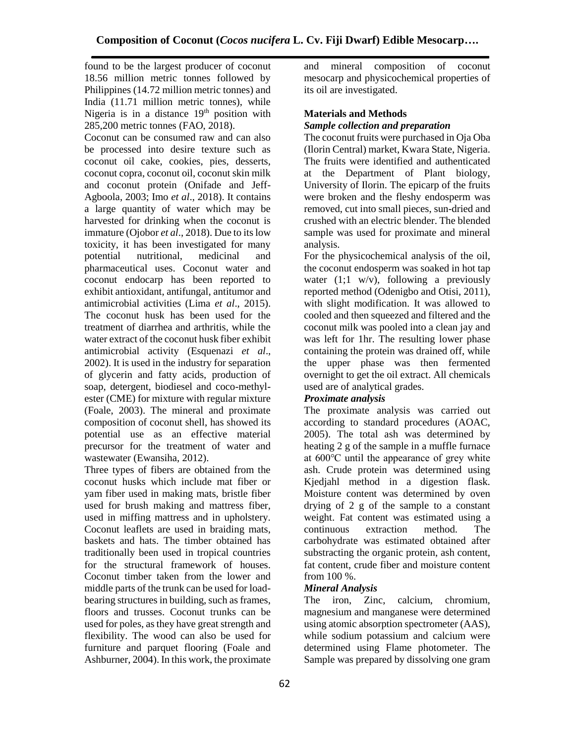found to be the largest producer of coconut 18.56 million metric tonnes followed by Philippines (14.72 million metric tonnes) and India (11.71 million metric tonnes), while Nigeria is in a distance  $19<sup>th</sup>$  position with 285,200 metric tonnes (FAO, 2018).

Coconut can be consumed raw and can also be processed into desire texture such as coconut oil cake, cookies, pies, desserts, coconut copra, coconut oil, coconut skin milk and coconut protein (Onifade and Jeff-Agboola, 2003; Imo *et al*., 2018). It contains a large quantity of water which may be harvested for drinking when the coconut is immature (Ojobor *et al*., 2018). Due to its low toxicity, it has been investigated for many potential nutritional, medicinal and pharmaceutical uses. Coconut water and coconut endocarp has been reported to exhibit antioxidant, antifungal, antitumor and antimicrobial activities (Lima *et al*., 2015). The coconut husk has been used for the treatment of diarrhea and arthritis, while the water extract of the coconut husk fiber exhibit antimicrobial activity (Esquenazi *et al*., 2002). It is used in the industry for separation of glycerin and fatty acids, production of soap, detergent, biodiesel and coco-methylester (CME) for mixture with regular mixture (Foale, 2003). The mineral and proximate composition of coconut shell, has showed its potential use as an effective material precursor for the treatment of water and wastewater (Ewansiha, 2012).

Three types of fibers are obtained from the coconut husks which include mat fiber or yam fiber used in making mats, bristle fiber used for brush making and mattress fiber, used in miffing mattress and in upholstery. Coconut leaflets are used in braiding mats, baskets and hats. The timber obtained has traditionally been used in tropical countries for the structural framework of houses. Coconut timber taken from the lower and middle parts of the trunk can be used for loadbearing structures in building, such as frames, floors and trusses. Coconut trunks can be used for poles, as they have great strength and flexibility. The wood can also be used for furniture and parquet flooring (Foale and Ashburner, 2004). In this work, the proximate

and mineral composition of coconut mesocarp and physicochemical properties of its oil are investigated.

## **Materials and Methods** *Sample collection and preparation*

The coconut fruits were purchased in Oja Oba (Ilorin Central) market, Kwara State, Nigeria. The fruits were identified and authenticated at the Department of Plant biology, University of Ilorin. The epicarp of the fruits were broken and the fleshy endosperm was removed, cut into small pieces, sun-dried and crushed with an electric blender. The blended sample was used for proximate and mineral analysis.

For the physicochemical analysis of the oil, the coconut endosperm was soaked in hot tap water  $(1,1 \text{ w/v})$ , following a previously reported method (Odenigbo and Otisi, 2011), with slight modification. It was allowed to cooled and then squeezed and filtered and the coconut milk was pooled into a clean jay and was left for 1hr. The resulting lower phase containing the protein was drained off, while the upper phase was then fermented overnight to get the oil extract. All chemicals used are of analytical grades.

## *Proximate analysis*

The proximate analysis was carried out according to standard procedures (AOAC, 2005). The total ash was determined by heating 2 g of the sample in a muffle furnace at 600℃ until the appearance of grey white ash. Crude protein was determined using Kjedjahl method in a digestion flask. Moisture content was determined by oven drying of 2 g of the sample to a constant weight. Fat content was estimated using a continuous extraction method. The carbohydrate was estimated obtained after substracting the organic protein, ash content, fat content, crude fiber and moisture content from 100 %.

### *Mineral Analysis*

The iron, Zinc, calcium, chromium, magnesium and manganese were determined using atomic absorption spectrometer (AAS), while sodium potassium and calcium were determined using Flame photometer. The Sample was prepared by dissolving one gram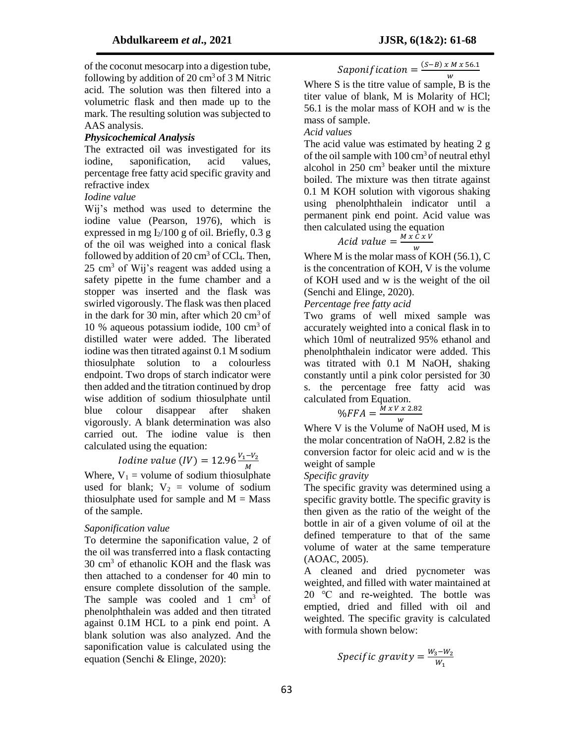of the coconut mesocarp into a digestion tube, following by addition of  $20 \text{ cm}^3$  of  $3 \text{ M}$  Nitric acid. The solution was then filtered into a volumetric flask and then made up to the mark. The resulting solution was subjected to AAS analysis.

### *Physicochemical Analysis*

The extracted oil was investigated for its iodine, saponification, acid values, percentage free fatty acid specific gravity and refractive index

### *Iodine value*

Wij's method was used to determine the iodine value (Pearson, 1976), which is expressed in mg  $I_2/100$  g of oil. Briefly, 0.3 g of the oil was weighed into a conical flask followed by addition of  $20 \text{ cm}^3$  of CCl<sub>4</sub>. Then,  $25 \text{ cm}^3$  of Wij's reagent was added using a safety pipette in the fume chamber and a stopper was inserted and the flask was swirled vigorously. The flask was then placed in the dark for 30 min, after which  $20 \text{ cm}^3$  of 10 % aqueous potassium iodide,  $100 \text{ cm}^3$  of distilled water were added. The liberated iodine was then titrated against 0.1 M sodium thiosulphate solution to a colourless endpoint. Two drops of starch indicator were then added and the titration continued by drop wise addition of sodium thiosulphate until blue colour disappear after shaken vigorously. A blank determination was also carried out. The iodine value is then calculated using the equation:

Iodine value 
$$
(IV) = 12.96 \frac{V_1 - V_2}{M}
$$

Where,  $V_1$  = volume of sodium thiosulphate used for blank;  $V_2$  = volume of sodium thiosulphate used for sample and  $M = Mass$ of the sample.

### *Saponification value*

To determine the saponification value, 2 of the oil was transferred into a flask contacting 30 cm<sup>3</sup> of ethanolic KOH and the flask was then attached to a condenser for 40 min to ensure complete dissolution of the sample. The sample was cooled and  $1 \text{ cm}^3$  of phenolphthalein was added and then titrated against 0.1M HCL to a pink end point. A blank solution was also analyzed. And the saponification value is calculated using the equation (Senchi & Elinge, 2020):

$$
Saponification = \frac{(S-B) \times M \times 56.1}{W}
$$

Where S is the titre value of sample, B is the titer value of blank, M is Molarity of HCl; 56.1 is the molar mass of KOH and w is the mass of sample.

*Acid values*

The acid value was estimated by heating 2 g of the oil sample with  $100 \text{ cm}^3$  of neutral ethyl alcohol in 250 cm<sup>3</sup> beaker until the mixture boiled. The mixture was then titrate against 0.1 M KOH solution with vigorous shaking using phenolphthalein indicator until a permanent pink end point. Acid value was then calculated using the equation

$$
Acid value = \frac{M \times C \times V}{W}
$$

Where M is the molar mass of KOH (56.1), C is the concentration of KOH, V is the volume of KOH used and w is the weight of the oil (Senchi and Elinge, 2020).

*Percentage free fatty acid*

Two grams of well mixed sample was accurately weighted into a conical flask in to which 10ml of neutralized 95% ethanol and phenolphthalein indicator were added. This was titrated with 0.1 M NaOH, shaking constantly until a pink color persisted for 30 s. the percentage free fatty acid was calculated from Equation.

$$
\%FFA = \frac{M x V x 2.82}{W}
$$

Where V is the Volume of NaOH used, M is the molar concentration of NaOH, 2.82 is the conversion factor for oleic acid and w is the weight of sample

### *Specific gravity*

The specific gravity was determined using a specific gravity bottle. The specific gravity is then given as the ratio of the weight of the bottle in air of a given volume of oil at the defined temperature to that of the same volume of water at the same temperature (AOAC, 2005).

A cleaned and dried pycnometer was weighted, and filled with water maintained at 20 ℃ and re-weighted. The bottle was emptied, dried and filled with oil and weighted. The specific gravity is calculated with formula shown below:

$$
Specific\ gravity = \frac{W_3 - W_2}{W_1}
$$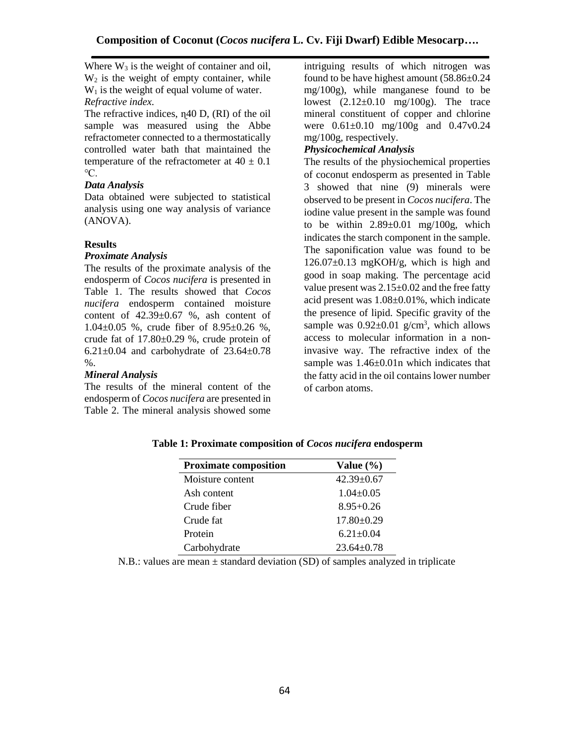Where  $W_3$  is the weight of container and oil,  $W_2$  is the weight of empty container, while  $W_1$  is the weight of equal volume of water. *Refractive index.*

The refractive indices, η 40 D, (RI) of the oil sample was measured using the Abbe refractometer connected to a thermostatically controlled water bath that maintained the temperature of the refractometer at  $40 \pm 0.1$ ℃.

## *Data Analysis*

Data obtained were subjected to statistical analysis using one way analysis of variance (ANOVA).

## **Results**

### *Proximate Analysis*

The results of the proximate analysis of the endosperm of *Cocos nucifera* is presented in Table 1. The results showed that *Cocos nucifera* endosperm contained moisture content of 42.39±0.67 %, ash content of 1.04±0.05 %, crude fiber of 8.95±0.26 %, crude fat of 17.80±0.29 %, crude protein of 6.21 $\pm$ 0.04 and carbohydrate of 23.64 $\pm$ 0.78 %.

### *Mineral Analysis*

The results of the mineral content of the endosperm of *Cocos nucifera* are presented in Table 2. The mineral analysis showed some

intriguing results of which nitrogen was found to be have highest amount (58.86±0.24 mg/100g), while manganese found to be lowest  $(2.12\pm0.10 \text{ mg}/100 \text{g})$ . The trace mineral constituent of copper and chlorine were 0.61±0.10 mg/100g and 0.47v0.24 mg/100g, respectively.

## *Physicochemical Analysis*

The results of the physiochemical properties of coconut endosperm as presented in Table 3 showed that nine (9) minerals were observed to be present in *Cocos nucifera*. The iodine value present in the sample was found to be within  $2.89 \pm 0.01$  mg/100g, which indicates the starch component in the sample. The saponification value was found to be  $126.07\pm0.13$  mgKOH/g, which is high and good in soap making. The percentage acid value present was  $2.15\pm0.02$  and the free fatty acid present was 1.08±0.01%, which indicate the presence of lipid. Specific gravity of the sample was  $0.92 \pm 0.01$  g/cm<sup>3</sup>, which allows access to molecular information in a noninvasive way. The refractive index of the sample was  $1.46 \pm 0.01$ n which indicates that the fatty acid in the oil contains lower number of carbon atoms.

## **Table 1: Proximate composition of** *Cocos nucifera* **endosperm**

| <b>Proximate composition</b>     | Value $(\% )$    |  |
|----------------------------------|------------------|--|
| Moisture content                 | $42.39 \pm 0.67$ |  |
| Ash content                      | $1.04 \pm 0.05$  |  |
| Crude fiber                      | $8.95 + 0.26$    |  |
| Crude fat                        | $17.80 \pm 0.29$ |  |
| Protein                          | $6.21 \pm 0.04$  |  |
| Carbohydrate<br>$23.64 \pm 0.78$ |                  |  |

N.B.: values are mean ± standard deviation (SD) of samples analyzed in triplicate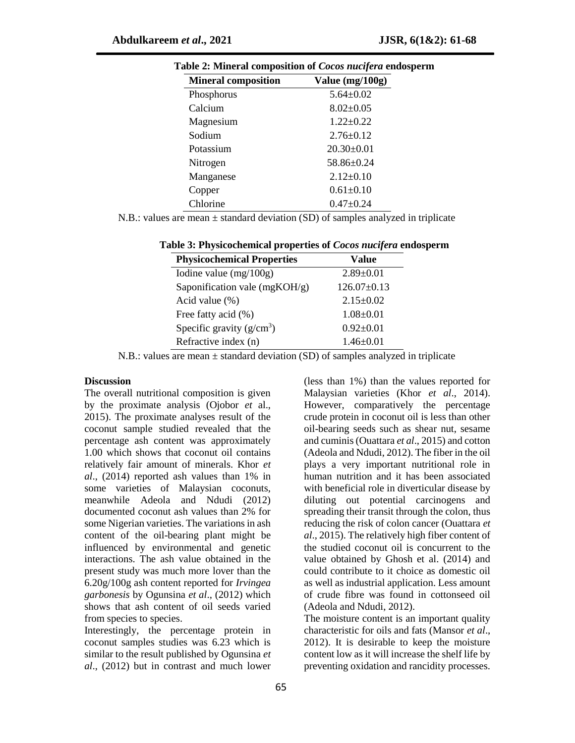| <b>Mineral composition</b> | Value (mg/100g)  |
|----------------------------|------------------|
| Phosphorus                 | $5.64 \pm 0.02$  |
| Calcium                    | $8.02 \pm 0.05$  |
| Magnesium                  | $1.22 \pm 0.22$  |
| Sodium                     | $2.76\pm0.12$    |
| Potassium                  | $20.30 \pm 0.01$ |
| Nitrogen                   | 58.86±0.24       |
| Manganese                  | $2.12\pm0.10$    |
| Copper                     | $0.61 \pm 0.10$  |
| Chlorine                   | $0.47 \pm 0.24$  |

**Table 2: Mineral composition of** *Cocos nucifera* **endosperm**

N.B.: values are mean  $\pm$  standard deviation (SD) of samples analyzed in triplicate

| <b>Physicochemical Properties</b> | Value             |
|-----------------------------------|-------------------|
| Iodine value $(mg/100g)$          | $2.89 \pm 0.01$   |
| Saponification vale (mgKOH/g)     | $126.07 \pm 0.13$ |
| Acid value $(\%)$                 | $2.15 \pm 0.02$   |
| Free fatty acid $(\%)$            | $1.08 \pm 0.01$   |
| Specific gravity $(g/cm3)$        | $0.92 \pm 0.01$   |
| Refractive index (n)              | $1.46 \pm 0.01$   |

### **Table 3: Physicochemical properties of** *Cocos nucifera* **endosperm**

N.B.: values are mean ± standard deviation (SD) of samples analyzed in triplicate

#### **Discussion**

The overall nutritional composition is given by the proximate analysis (Ojobor *et* al., 2015). The proximate analyses result of the coconut sample studied revealed that the percentage ash content was approximately 1.00 which shows that coconut oil contains relatively fair amount of minerals. Khor *et al*., (2014) reported ash values than 1% in some varieties of Malaysian coconuts, meanwhile Adeola and Ndudi (2012) documented coconut ash values than 2% for some Nigerian varieties. The variations in ash content of the oil-bearing plant might be influenced by environmental and genetic interactions. The ash value obtained in the present study was much more lover than the 6.20g/100g ash content reported for *Irvingea garbonesis* by Ogunsina *et al*., (2012) which shows that ash content of oil seeds varied from species to species.

Interestingly, the percentage protein in coconut samples studies was 6.23 which is similar to the result published by Ogunsina *et al*., (2012) but in contrast and much lower

(less than 1%) than the values reported for Malaysian varieties (Khor *et al*., 2014). However, comparatively the percentage crude protein in coconut oil is less than other oil-bearing seeds such as shear nut, sesame and cuminis (Ouattara *et al*., 2015) and cotton (Adeola and Ndudi, 2012). The fiber in the oil plays a very important nutritional role in human nutrition and it has been associated with beneficial role in diverticular disease by diluting out potential carcinogens and spreading their transit through the colon, thus reducing the risk of colon cancer (Ouattara *et al*., 2015). The relatively high fiber content of the studied coconut oil is concurrent to the value obtained by Ghosh et al. (2014) and could contribute to it choice as domestic oil as well as industrial application. Less amount of crude fibre was found in cottonseed oil (Adeola and Ndudi, 2012).

The moisture content is an important quality characteristic for oils and fats (Mansor *et al*., 2012). It is desirable to keep the moisture content low as it will increase the shelf life by preventing oxidation and rancidity processes.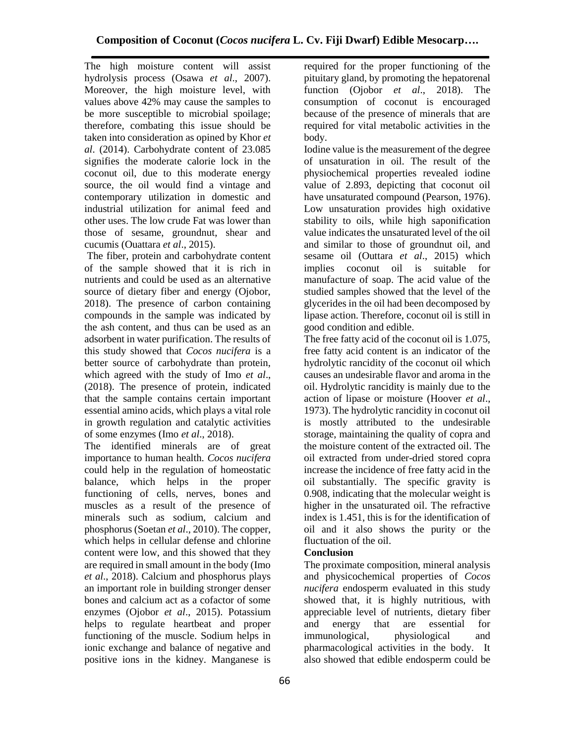The high moisture content will assist hydrolysis process (Osawa *et al*., 2007). Moreover, the high moisture level, with values above 42% may cause the samples to be more susceptible to microbial spoilage; therefore, combating this issue should be taken into consideration as opined by Khor *et al*. (2014). Carbohydrate content of 23.085 signifies the moderate calorie lock in the coconut oil, due to this moderate energy source, the oil would find a vintage and contemporary utilization in domestic and industrial utilization for animal feed and other uses. The low crude Fat was lower than those of sesame, groundnut, shear and cucumis (Ouattara *et al*., 2015).

The fiber, protein and carbohydrate content of the sample showed that it is rich in nutrients and could be used as an alternative source of dietary fiber and energy (Ojobor, 2018). The presence of carbon containing compounds in the sample was indicated by the ash content, and thus can be used as an adsorbent in water purification. The results of this study showed that *Cocos nucifera* is a better source of carbohydrate than protein, which agreed with the study of Imo *et al*., (2018). The presence of protein, indicated that the sample contains certain important essential amino acids, which plays a vital role in growth regulation and catalytic activities of some enzymes (Imo *et al*., 2018).

The identified minerals are of great importance to human health. *Cocos nucifera* could help in the regulation of homeostatic balance, which helps in the proper functioning of cells, nerves, bones and muscles as a result of the presence of minerals such as sodium, calcium and phosphorus (Soetan *et al*., 2010). The copper, which helps in cellular defense and chlorine content were low, and this showed that they are required in small amount in the body (Imo *et al*., 2018). Calcium and phosphorus plays an important role in building stronger denser bones and calcium act as a cofactor of some enzymes (Ojobor *et al*., 2015). Potassium helps to regulate heartbeat and proper functioning of the muscle. Sodium helps in ionic exchange and balance of negative and positive ions in the kidney. Manganese is

required for the proper functioning of the pituitary gland, by promoting the hepatorenal function (Ojobor *et al*., 2018). The consumption of coconut is encouraged because of the presence of minerals that are required for vital metabolic activities in the body.

Iodine value is the measurement of the degree of unsaturation in oil. The result of the physiochemical properties revealed iodine value of 2.893, depicting that coconut oil have unsaturated compound (Pearson, 1976). Low unsaturation provides high oxidative stability to oils, while high saponification value indicates the unsaturated level of the oil and similar to those of groundnut oil, and sesame oil (Outtara *et al*., 2015) which implies coconut oil is suitable for manufacture of soap. The acid value of the studied samples showed that the level of the glycerides in the oil had been decomposed by lipase action. Therefore, coconut oil is still in good condition and edible.

The free fatty acid of the coconut oil is 1.075, free fatty acid content is an indicator of the hydrolytic rancidity of the coconut oil which causes an undesirable flavor and aroma in the oil. Hydrolytic rancidity is mainly due to the action of lipase or moisture (Hoover *et al*., 1973). The hydrolytic rancidity in coconut oil is mostly attributed to the undesirable storage, maintaining the quality of copra and the moisture content of the extracted oil. The oil extracted from under-dried stored copra increase the incidence of free fatty acid in the oil substantially. The specific gravity is 0.908, indicating that the molecular weight is higher in the unsaturated oil. The refractive index is 1.451, this is for the identification of oil and it also shows the purity or the fluctuation of the oil.

### **Conclusion**

The proximate composition, mineral analysis and physicochemical properties of *Cocos nucifera* endosperm evaluated in this study showed that, it is highly nutritious, with appreciable level of nutrients, dietary fiber and energy that are essential for immunological, physiological and pharmacological activities in the body. It also showed that edible endosperm could be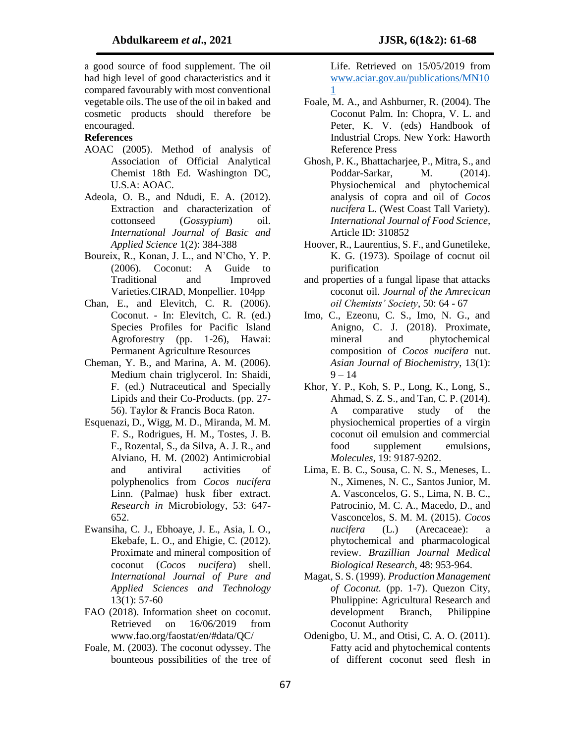a good source of food supplement. The oil had high level of good characteristics and it compared favourably with most conventional vegetable oils. The use of the oil in baked and cosmetic products should therefore be encouraged.

#### **References**

- AOAC (2005). Method of analysis of Association of Official Analytical Chemist 18th Ed. Washington DC, U.S.A: AOAC.
- Adeola, O. B., and Ndudi, E. A. (2012). Extraction and characterization of cottonseed (*Gossypium*) oil. *International Journal of Basic and Applied Science* 1(2): 384-388
- Boureix, R., Konan, J. L., and N'Cho, Y. P. (2006). Coconut: A Guide to Traditional and Improved Varieties.CIRAD, Monpellier. 104pp
- Chan, E., and Elevitch, C. R. (2006). Coconut. - In: Elevitch, C. R. (ed.) Species Profiles for Pacific Island Agroforestry (pp. 1-26), Hawai: Permanent Agriculture Resources
- Cheman, Y. B., and Marina, A. M. (2006). Medium chain triglycerol. In: Shaidi, F. (ed.) Nutraceutical and Specially Lipids and their Co-Products. (pp. 27- 56). Taylor & Francis Boca Raton.
- Esquenazi, D., Wigg, M. D., Miranda, M. M. F. S., Rodrigues, H. M., Tostes, J. B. F., Rozental, S., da Silva, A. J. R., and Alviano, H. M. (2002) Antimicrobial and antiviral activities of polyphenolics from *Cocos nucifera* Linn. (Palmae) husk fiber extract. *Research in* Microbiology, 53: 647- 652.
- Ewansiha, C. J., Ebhoaye, J. E., Asia, I. O., Ekebafe, L. O., and Ehigie, C. (2012). Proximate and mineral composition of coconut (*Cocos nucifera*) shell. *International Journal of Pure and Applied Sciences and Technology* 13(1): 57-60
- FAO (2018). Information sheet on coconut. Retrieved on 16/06/2019 from www.fao.org/faostat/en/#data/QC/
- Foale, M. (2003). The coconut odyssey. The bounteous possibilities of the tree of

Life. Retrieved on 15/05/2019 from [www.aciar.gov.au/publications/MN10](http://www.aciar.gov.au/publications/MN101) [1](http://www.aciar.gov.au/publications/MN101)

- Foale, M. A., and Ashburner, R. (2004). The Coconut Palm. In: Chopra, V. L. and Peter, K. V. (eds) Handbook of Industrial Crops. New York: Haworth Reference Press
- Ghosh, P. K., Bhattacharjee, P., Mitra, S., and Poddar-Sarkar, M. (2014). Physiochemical and phytochemical analysis of copra and oil of *Cocos nucifera* L. (West Coast Tall Variety). *International Journal of Food Science,*  Article ID: 310852
- Hoover, R., Laurentius, S. F., and Gunetileke, K. G. (1973). Spoilage of cocnut oil purification
- and properties of a fungal lipase that attacks coconut oil. *Journal of the Amrecican oil Chemists' Society*, 50: 64 - 67
- Imo, C., Ezeonu, C. S., Imo, N. G., and Anigno, C. J. (2018). Proximate, mineral and phytochemical composition of *Cocos nucifera* nut. *Asian Journal of Biochemistry*, 13(1):  $9 - 14$
- Khor, Y. P., Koh, S. P., Long, K., Long, S., Ahmad, S. Z. S., and Tan, C. P. (2014). A comparative study of the physiochemical properties of a virgin coconut oil emulsion and commercial food supplement emulsions, *Molecules*, 19: 9187-9202.
- Lima, E. B. C., Sousa, C. N. S., Meneses, L. N., Ximenes, N. C., Santos Junior, M. A. Vasconcelos, G. S., Lima, N. B. C., Patrocinio, M. C. A., Macedo, D., and Vasconcelos, S. M. M. (2015). *Cocos nucifera* (L.) (Arecaceae): a phytochemical and pharmacological review. *Brazillian Journal Medical Biological Research*, 48: 953-964.
- Magat, S. S. (1999). *Production Management of Coconut.* (pp. 1-7). Quezon City, Phulippine: Agricultural Research and development Branch, Philippine Coconut Authority
- Odenigbo, U. M., and Otisi, C. A. O. (2011). Fatty acid and phytochemical contents of different coconut seed flesh in